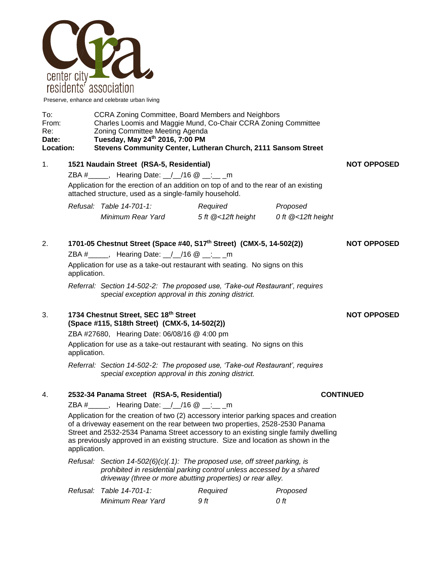

Preserve, enhance and celebrate urban living

| To:              | CCRA Zoning Committee, Board Members and Neighbors             |  |
|------------------|----------------------------------------------------------------|--|
| From:            | Charles Loomis and Maggie Mund, Co-Chair CCRA Zoning Committee |  |
| Re:              | Zoning Committee Meeting Agenda                                |  |
| Date:            | Tuesday, May 24th 2016, 7:00 PM                                |  |
| <b>Location:</b> | Stevens Community Center, Lutheran Church, 2111 Sansom Street  |  |

1. **1521 Naudain Street (RSA-5, Residential) NOT OPPOSED** ZBA #\_\_\_\_\_, Hearing Date: \_/\_/16 @ \_\_:\_\_ \_m Application for the erection of an addition on top of and to the rear of an existing attached structure, used as a single-family household. *Refusal: Table 14-701-1: Required Proposed*

*Minimum Rear Yard 5 ft @<12ft height 0 ft @<12ft height*

| 2. | 1701-05 Chestnut Street (Space #40, S17th Street) (CMX-5, 14-502(2))<br>ZBA # _____, Hearing Date: $\angle$ /16 @ __: __ m<br>Application for use as a take-out restaurant with seating. No signs on this<br>application. | <b>NOT OPPOSED</b> |
|----|---------------------------------------------------------------------------------------------------------------------------------------------------------------------------------------------------------------------------|--------------------|
|    | Referral: Section 14-502-2: The proposed use, 'Take-out Restaurant', requires<br>special exception approval in this zoning district.                                                                                      |                    |
| 3. | 1734 Chestnut Street, SEC 18th Street<br>(Space #115, S18th Street) (CMX-5, 14-502(2))                                                                                                                                    | <b>NOT OPPOSED</b> |

ZBA #27680, Hearing Date: 06/08/16 @ 4:00 pm Application for use as a take-out restaurant with seating. No signs on this application.

*Referral: Section 14-502-2: The proposed use, 'Take-out Restaurant', requires special exception approval in this zoning district.*

## 4. **2532-34 Panama Street (RSA-5, Residential) CONTINUED**

ZBA #\_\_\_\_\_, Hearing Date: \_\_/\_\_/16 @ \_\_:\_\_ \_m

Application for the creation of two (2) accessory interior parking spaces and creation of a driveway easement on the rear between two properties, 2528-2530 Panama Street and 2532-2534 Panama Street accessory to an existing single family dwelling as previously approved in an existing structure. Size and location as shown in the application.

*Refusal: Section 14-502(6)(c)(.1): The proposed use, off street parking, is prohibited in residential parking control unless accessed by a shared driveway (three or more abutting properties) or rear alley.*

| Refusal: Table 14-701-1: | Required | Proposed |
|--------------------------|----------|----------|
| Minimum Rear Yard        | 9 ft     | 0 ft     |